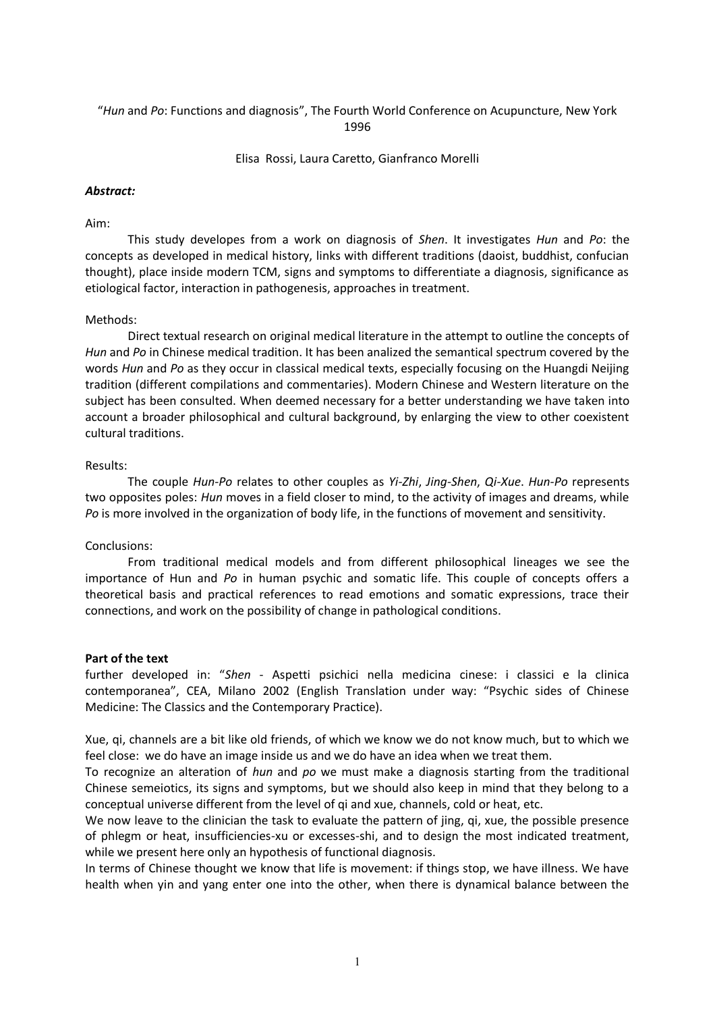## "*Hun* and *Po*: Functions and diagnosis", The Fourth World Conference on Acupuncture, New York 1996

Elisa Rossi, Laura Caretto, Gianfranco Morelli

## *Abstract:*

## Aim:

This study developes from a work on diagnosis of *Shen*. It investigates *Hun* and *Po*: the concepts as developed in medical history, links with different traditions (daoist, buddhist, confucian thought), place inside modern TCM, signs and symptoms to differentiate a diagnosis, significance as etiological factor, interaction in pathogenesis, approaches in treatment.

# Methods:

Direct textual research on original medical literature in the attempt to outline the concepts of *Hun* and *Po* in Chinese medical tradition. It has been analized the semantical spectrum covered by the words *Hun* and *Po* as they occur in classical medical texts, especially focusing on the Huangdi Neijing tradition (different compilations and commentaries). Modern Chinese and Western literature on the subject has been consulted. When deemed necessary for a better understanding we have taken into account a broader philosophical and cultural background, by enlarging the view to other coexistent cultural traditions.

## Results:

The couple *Hun-Po* relates to other couples as *Yi-Zhi*, *Jing-Shen*, *Qi-Xue*. *Hun-Po* represents two opposites poles: *Hun* moves in a field closer to mind, to the activity of images and dreams, while *Po* is more involved in the organization of body life, in the functions of movement and sensitivity.

## Conclusions:

From traditional medical models and from different philosophical lineages we see the importance of Hun and *Po* in human psychic and somatic life. This couple of concepts offers a theoretical basis and practical references to read emotions and somatic expressions, trace their connections, and work on the possibility of change in pathological conditions.

## **Part of the text**

further developed in: "*Shen* - Aspetti psichici nella medicina cinese: i classici e la clinica contemporanea", CEA, Milano 2002 (English Translation under way: "Psychic sides of Chinese Medicine: The Classics and the Contemporary Practice).

Xue, qi, channels are a bit like old friends, of which we know we do not know much, but to which we feel close: we do have an image inside us and we do have an idea when we treat them.

To recognize an alteration of *hun* and *po* we must make a diagnosis starting from the traditional Chinese semeiotics, its signs and symptoms, but we should also keep in mind that they belong to a conceptual universe different from the level of qi and xue, channels, cold or heat, etc.

We now leave to the clinician the task to evaluate the pattern of jing, qi, xue, the possible presence of phlegm or heat, insufficiencies-xu or excesses-shi, and to design the most indicated treatment, while we present here only an hypothesis of functional diagnosis.

In terms of Chinese thought we know that life is movement: if things stop, we have illness. We have health when yin and yang enter one into the other, when there is dynamical balance between the